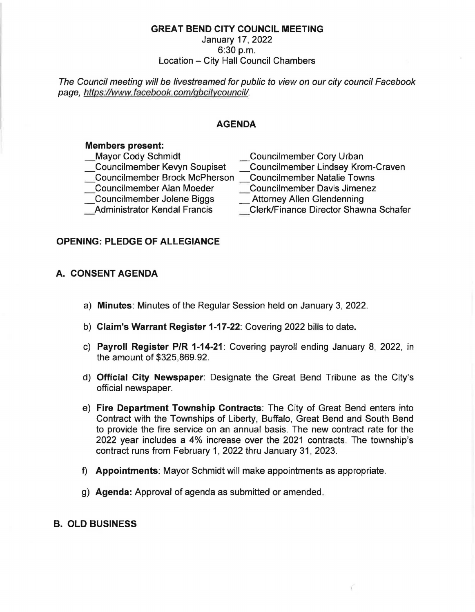### **GREAT BEND CITY COUNCIL MEETING**

### January 17, 2022  $6:30 p.m.$ Location - City Hall Council Chambers

The Council meeting will be livestreamed for public to view on our city council Facebook page, https://www.facebook.com/gbcitycouncil/.

### **AGENDA**

#### **Members present:**

| <b>Councilmember Cory Urban</b>       |
|---------------------------------------|
| Councilmember Lindsey Krom-Craven     |
| <b>Councilmember Natalie Towns</b>    |
| <b>Councilmember Davis Jimenez</b>    |
| <b>Attorney Allen Glendenning</b>     |
| Clerk/Finance Director Shawna Schafer |
|                                       |

### **OPENING: PLEDGE OF ALLEGIANCE**

## **A. CONSENT AGENDA**

- a) **Minutes:** Minutes of the Regular Session held on January 3, 2022.
- b) **Claim's Warrant Register 1-17-22:** Covering 2022 bills to date.
- c) **Payroll Register P/R 1-14-21:** Covering payroll ending January 8, 2022, in the amount of \$325,869.92.
- d) **Official City Newspaper:** Designate the Great Bend Tribune as the City's official newspaper.
- e) **Fire Department Township Contracts:** The City of Great Bend enters into Contract with the Townships of Liberty, Buffalo, Great Bend and South Bend to provide the fire service on an annual basis. The new contract rate for the 2022 year includes a 4% increase over the 2021 contracts. The township's contract runs from February 1, 2022 thru January 31, 2023.
- f) **Appointments:** Mayor Schmidt will make appointments as appropriate.
- g) **Agenda:** Approval of agenda as submitted or amended.

### **B. OLD BUSINESS**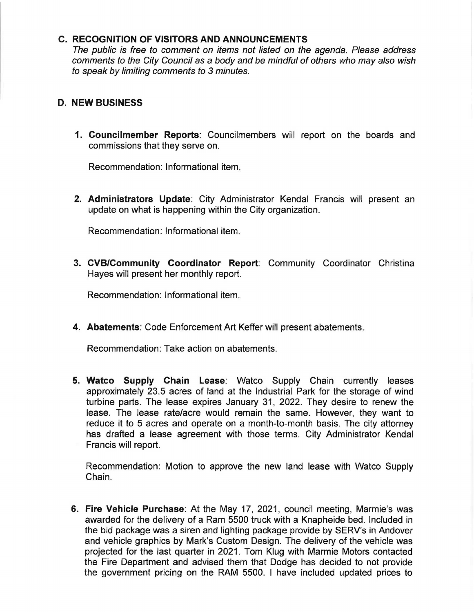#### **C. RECOGNITION OF VISITORS AND ANNOUNCEMENTS**

The public is free to comment on items not listed on the agenda. Please address comments to the City Council as a body and be mindful of others who may also wish to speak by limiting comments to 3 minutes.

### **D. NEW BUSINESS**

**1. Councilmember Reports:** Councilmembers will report on the boards and commissions that they serve on.

Recommendation: Informational item.

**2. Administrators Update:** City Administrator Kendal Francis will present an update on what is happening within the City organization.

Recommendation: Informational item.

**3. CVB/Community Coordinator Report:** Community Coordinator Christina Hayes will present her monthly report.

Recommendation: Informational item.

**4. Abatements:** Code Enforcement Art Keffer will present abatements.

Recommendation: Take action on abatements.

**5. Watco Supply Chain Lease:** Watco Supply Chain currently leases approximately 23.5 acres of land at the Industrial Park for the storage of wind turbine parts. The lease expires January 31, 2022. They desire to renew the lease. The lease rate/acre would remain the same. However, they want to reduce it to 5 acres and operate on a month-to-month basis. The city attorney has drafted a lease agreement with those terms. City Administrator Kendal Francis will report.

Recommendation: Motion to approve the new land lease with Watco Supply Chain.

**6. Fire Vehicle Purchase:** At the May 17, 2021, council meeting, Marmie's was awarded for the delivery of a Ram 5500 truck with a Knapheide bed. Included in the bid package was a siren and lighting package provide by SERV's in Andover and vehicle graphics by Mark's Custom Design. The delivery of the vehicle was projected for the last quarter in 2021. Tom Klug with Marmie Motors contacted the Fire Department and advised them that Dodge has decided to not provide the government pricing on the RAM 5500. I have included updated prices to